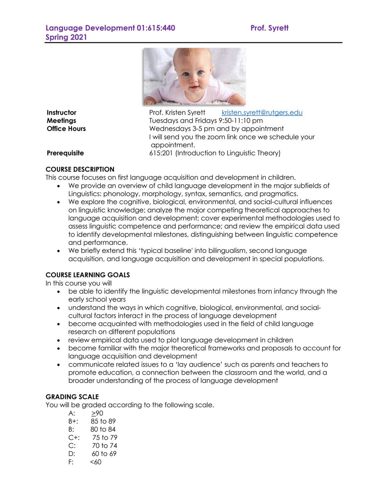

**Instructor Prof. Kristen Syrett** kristen.syrett@rutgers.edu **Meetings** Tuesdays and Fridays 9:50-11:10 pm **Office Hours** Wednesdays 3-5 pm and by appointment I will send you the zoom link once we schedule your appointment. **Prerequisite** 615:201 (Introduction to Linguistic Theory)

### **COURSE DESCRIPTION**

This course focuses on first language acquisition and development in children.

- We provide an overview of child language development in the major subfields of Linguistics: phonology, morphology, syntax, semantics, and pragmatics.
- We explore the cognitive, biological, environmental, and social-cultural influences on linguistic knowledge; analyze the major competing theoretical approaches to language acquisition and development; cover experimental methodologies used to assess linguistic competence and performance; and review the empirical data used to identify developmental milestones, distinguishing between linguistic competence and performance.
- We briefly extend this 'typical baseline' into bilingualism, second language acquisition, and language acquisition and development in special populations.

### **COURSE LEARNING GOALS**

In this course you will

- be able to identify the linguistic developmental milestones from infancy through the early school years
- understand the ways in which cognitive, biological, environmental, and socialcultural factors interact in the process of language development
- become acquainted with methodologies used in the field of child language research on different populations
- review empirical data used to plot language development in children
- become familiar with the major theoretical frameworks and proposals to account for language acquisition and development
- communicate related issues to a 'lay audience' such as parents and teachers to promote education, a connection between the classroom and the world, and a broader understanding of the process of language development

### **GRADING SCALE**

You will be graded according to the following scale.

- A: >90
- B+: 85 to 89
- B: 80 to 84
- C+: 75 to 79
- C: 70 to 74
- D: 60 to 69
- $F: < 60$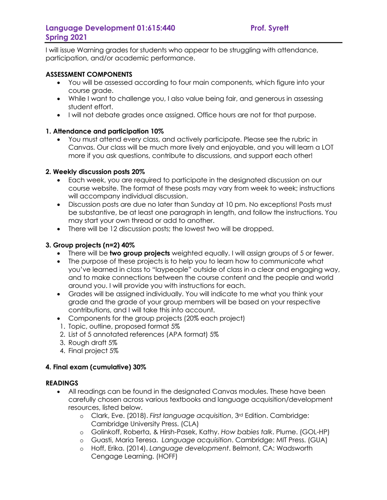I will issue Warning grades for students who appear to be struggling with attendance, participation, and/or academic performance.

#### **ASSESSMENT COMPONENTS**

- You will be assessed according to four main components, which figure into your course grade.
- While I want to challenge you, I also value being fair, and generous in assessing student effort.
- I will not debate grades once assigned. Office hours are not for that purpose.

#### **1. Attendance and participation 10%**

• You must attend every class, and actively participate. Please see the rubric in Canvas. Our class will be much more lively and enjoyable, and you will learn a LOT more if you ask questions, contribute to discussions, and support each other!

### **2. Weekly discussion posts 20%**

- Each week, you are required to participate in the designated discussion on our course website. The format of these posts may vary from week to week; instructions will accompany individual discussion.
- Discussion posts are due no later than Sunday at 10 pm. No exceptions! Posts must be substantive, be at least one paragraph in length, and follow the instructions. You may start your own thread or add to another.
- There will be 12 discussion posts; the lowest two will be dropped.

### **3. Group projects (n=2) 40%**

- There will be **two group projects** weighted equally. I will assign groups of 5 or fewer.
- The purpose of these projects is to help you to learn how to communicate what you've learned in class to "laypeople" outside of class in a clear and engaging way, and to make connections between the course content and the people and world around you. I will provide you with instructions for each.
- Grades will be assigned individually. You will indicate to me what you think your grade and the grade of your group members will be based on your respective contributions, and I will take this into account.
- Components for the group projects (20% each project)
- 1. Topic, outline, proposed format 5%
- 2. List of 5 annotated references (APA format) 5%
- 3. Rough draft 5%
- 4. Final project 5%

### **4. Final exam (cumulative) 30%**

#### **READINGS**

- All readings can be found in the designated Canvas modules. These have been carefully chosen across various textbooks and language acquisition/development resources, listed below.
	- o Clark, Eve. (2018). *First language acquisition*, 3rd Edition. Cambridge: Cambridge University Press. (CLA)
	- o Golinkoff, Roberta, & Hirsh-Pasek, Kathy. *How babies talk*. Plume. (GOL-HP)
	- o Guasti, Maria Teresa. *Language acquisition*. Cambridge: MIT Press. (GUA)
	- o Hoff, Erika. (2014). *Language development*. Belmont, CA: Wadsworth Cengage Learning. (HOFF)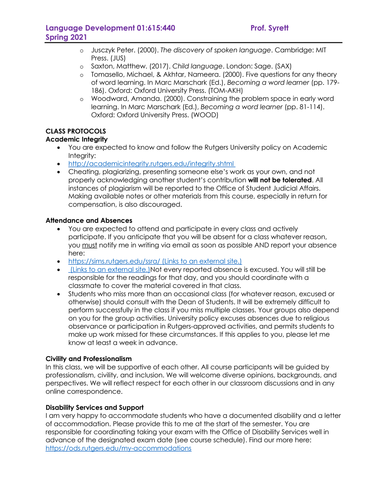- o Jusczyk Peter. (2000). *The discovery of spoken language*. Cambridge: MIT Press. (JUS)
- o Saxton, Matthew. (2017). *Child language*. London: Sage. (SAX)
- o Tomasello, Michael, & Akhtar, Nameera. (2000). Five questions for any theory of word learning. In Marc Marschark (Ed.), *Becoming a word learner* (pp. 179- 186). Oxford: Oxford University Press. (TOM-AKH)
- o Woodward, Amanda. (2000). Constraining the problem space in early word learning. In Marc Marschark (Ed.), *Becoming a word learner* (pp. 81-114). Oxford: Oxford University Press. (WOOD)

### **CLASS PROTOCOLS**

### **Academic Integrity**

- You are expected to know and follow the Rutgers University policy on Academic Integrity:
- http://academicintegrity.rutgers.edu/integrity.shtml
- Cheating, plagiarizing, presenting someone else's work as your own, and not properly acknowledging another student's contribution **will not be tolerated**. All instances of plagiarism will be reported to the Office of Student Judicial Affairs. Making available notes or other materials from this course, especially in return for compensation, is also discouraged.

### **Attendance and Absences**

- You are expected to attend and participate in every class and actively participate. If you anticipate that you will be absent for a class whatever reason, you must notify me in writing via email as soon as possible AND report your absence here:
- https://sims.rutgers.edu/ssra/ (Links to an external site.)
- (Links to an external site.)Not every reported absence is excused. You will still be responsible for the readings for that day, and you should coordinate with a classmate to cover the material covered in that class.
- Students who miss more than an occasional class (for whatever reason, excused or otherwise) should consult with the Dean of Students. It will be extremely difficult to perform successfully in the class if you miss multiple classes. Your groups also depend on you for the group activities. University policy excuses absences due to religious observance or participation in Rutgers-approved activities, and permits students to make up work missed for these circumstances. If this applies to you, please let me know at least a week in advance.

### **Civility and Professionalism**

In this class, we will be supportive of each other. All course participants will be guided by professionalism, civility, and inclusion. We will welcome diverse opinions, backgrounds, and perspectives. We will reflect respect for each other in our classroom discussions and in any online correspondence.

### **Disability Services and Support**

I am very happy to accommodate students who have a documented disability and a letter of accommodation. Please provide this to me at the start of the semester. You are responsible for coordinating taking your exam with the Office of Disability Services well in advance of the designated exam date (see course schedule). Find our more here: https://ods.rutgers.edu/my-accommodations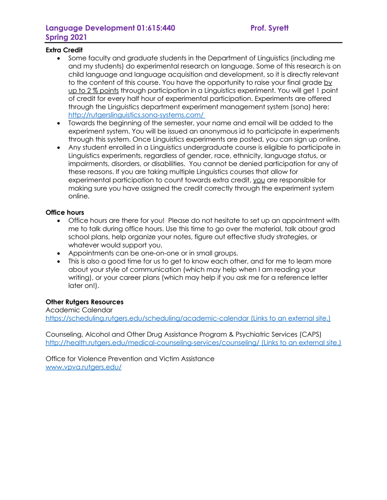## **Language Development 01:615:440 Prof. Syrett Spring 2021**

#### **Extra Credit**

- Some faculty and graduate students in the Department of Linguistics (including me and my students) do experimental research on language. Some of this research is on child language and language acquisition and development, so it is directly relevant to the content of this course. You have the opportunity to raise your final grade by up to 2 % points through participation in a Linguistics experiment. You will get 1 point of credit for every half hour of experimental participation. Experiments are offered through the Linguistics department experiment management system (sona) here: http://rutgerslinguistics.sona-systems.com/
- Towards the beginning of the semester, your name and email will be added to the experiment system. You will be issued an anonymous id to participate in experiments through this system. Once Linguistics experiments are posted, you can sign up online.
- Any student enrolled in a Linguistics undergraduate course is eligible to participate in Linguistics experiments, regardless of gender, race, ethnicity, language status, or impairments, disorders, or disabilities. You cannot be denied participation for any of these reasons. If you are taking multiple Linguistics courses that allow for experimental participation to count towards extra credit, you are responsible for making sure you have assigned the credit correctly through the experiment system online.

#### **Office hours**

- Office hours are there for you! Please do not hesitate to set up an appointment with me to talk during office hours. Use this time to go over the material, talk about grad school plans, help organize your notes, figure out effective study strategies, or whatever would support you.
- Appointments can be one-on-one or in small groups.
- This is also a good time for us to get to know each other, and for me to learn more about your style of communication (which may help when I am reading your writing), or your career plans (which may help if you ask me for a reference letter later on!).

### **Other Rutgers Resources**

Academic Calendar https://scheduling.rutgers.edu/scheduling/academic-calendar (Links to an external site.)

Counseling, Alcohol and Other Drug Assistance Program & Psychiatric Services (CAPS) http://health.rutgers.edu/medical-counseling-services/counseling/ (Links to an external site.)

Office for Violence Prevention and Victim Assistance www.vpva.rutgers.edu/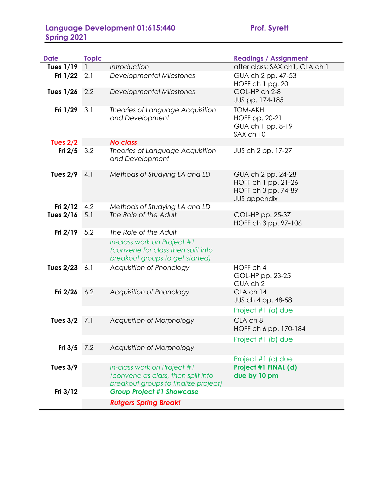# **Language Development 01:615:440 Prof. Syrett Spring 2021**

| <b>Date</b>      | <b>Topic</b> |                                                                                                      | <b>Readings / Assignment</b>                                                            |
|------------------|--------------|------------------------------------------------------------------------------------------------------|-----------------------------------------------------------------------------------------|
| <b>Tues 1/19</b> |              | Introduction                                                                                         | after class: SAX ch1, CLA ch 1                                                          |
| Fri 1/22         | 2.1          | <b>Developmental Milestones</b>                                                                      | GUA ch 2 pp. 47-53<br>HOFF ch 1 pg. 20                                                  |
| <b>Tues 1/26</b> | 2.2          | <b>Developmental Milestones</b>                                                                      | GOL-HP ch 2-8<br>JUS pp. 174-185                                                        |
| Fri 1/29         | 3.1          | Theories of Language Acquisition<br>and Development                                                  | <b>TOM-AKH</b><br>HOFF pp. 20-21<br>GUA ch 1 pp. 8-19<br>SAX ch 10                      |
| Tues $2/2$       |              | <b>No class</b>                                                                                      |                                                                                         |
| Fri $2/5$        | 3.2          | Theories of Language Acquisition<br>and Development                                                  | JUS ch 2 pp. 17-27                                                                      |
| Tues $2/9$       | 4.1          | Methods of Studying LA and LD                                                                        | GUA ch 2 pp. 24-28<br>HOFF ch 1 pp. 21-26<br>HOFF ch 3 pp. 74-89<br><b>JUS appendix</b> |
| Fri $2/12$       | 4.2          | Methods of Studying LA and LD                                                                        |                                                                                         |
| <b>Tues 2/16</b> | 5.1          | The Role of the Adult                                                                                | GOL-HP pp. 25-37<br>HOFF ch 3 pp. 97-106                                                |
| Fri 2/19         | 5.2          | The Role of the Adult                                                                                |                                                                                         |
|                  |              | In-class work on Project #1<br>(convene for class then split into<br>breakout groups to get started) |                                                                                         |
| <b>Tues 2/23</b> | 6.1          | Acquisition of Phonology                                                                             | HOFF ch 4<br>GOL-HP pp. 23-25<br>GUA ch 2                                               |
| Fri $2/26$       | 6.2          | Acquisition of Phonology                                                                             | CLA ch 14<br>JUS ch 4 pp. 48-58                                                         |
|                  |              |                                                                                                      | Project $#1$ (a) due                                                                    |
| Tues $3/2$       | 7.1          | Acquisition of Morphology                                                                            | CLA ch 8<br>HOFF ch 6 pp. 170-184                                                       |
|                  |              |                                                                                                      | Project $#1$ (b) due                                                                    |
| Fri 3/5          | 7.2          | Acquisition of Morphology                                                                            |                                                                                         |
| Tues $3/9$       |              | In-class work on Project #1                                                                          | Project $#1$ (c) due<br>Project #1 FINAL (d)                                            |
|                  |              | (convene as class, then split into<br>breakout groups to finalize project)                           | due by 10 pm                                                                            |
| Fri $3/12$       |              | <b>Group Project #1 Showcase</b>                                                                     |                                                                                         |
|                  |              | <b>Rutgers Spring Break!</b>                                                                         |                                                                                         |
|                  |              |                                                                                                      |                                                                                         |